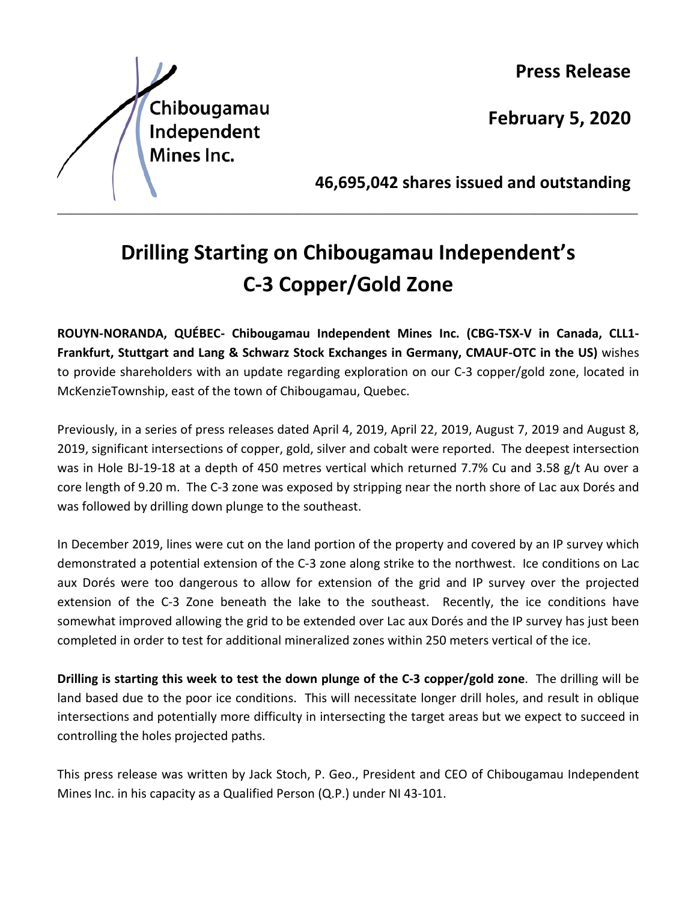

**Press Release**

**February 5, 2020**

**46,695,042 shares issued and outstanding**

## **Drilling Starting on Chibougamau Independent's C-3 Copper/Gold Zone**

\_\_\_\_\_\_\_\_\_\_\_\_\_\_\_\_\_\_\_\_\_\_\_\_\_\_\_\_\_\_\_\_\_\_\_\_\_\_\_\_\_\_\_\_\_\_\_\_\_\_\_\_\_\_\_\_\_\_\_\_\_\_\_\_\_\_\_\_\_\_\_\_\_\_\_\_\_\_\_\_\_\_\_\_\_

**ROUYN-NORANDA, QUÉBEC- Chibougamau Independent Mines Inc. (CBG-TSX-V in Canada, CLL1- Frankfurt, Stuttgart and Lang & Schwarz Stock Exchanges in Germany, CMAUF-OTC in the US)** wishes to provide shareholders with an update regarding exploration on our C-3 copper/gold zone, located in McKenzieTownship, east of the town of Chibougamau, Quebec.

Previously, in a series of press releases dated April 4, 2019, April 22, 2019, August 7, 2019 and August 8, 2019, significant intersections of copper, gold, silver and cobalt were reported. The deepest intersection was in Hole BJ-19-18 at a depth of 450 metres vertical which returned 7.7% Cu and 3.58 g/t Au over a core length of 9.20 m. The C-3 zone was exposed by stripping near the north shore of Lac aux Dorés and was followed by drilling down plunge to the southeast.

In December 2019, lines were cut on the land portion of the property and covered by an IP survey which demonstrated a potential extension of the C-3 zone along strike to the northwest. Ice conditions on Lac aux Dorés were too dangerous to allow for extension of the grid and IP survey over the projected extension of the C-3 Zone beneath the lake to the southeast. Recently, the ice conditions have somewhat improved allowing the grid to be extended over Lac aux Dorés and the IP survey has just been completed in order to test for additional mineralized zones within 250 meters vertical of the ice.

**Drilling is starting this week to test the down plunge of the C-3 copper/gold zone**. The drilling will be land based due to the poor ice conditions. This will necessitate longer drill holes, and result in oblique intersections and potentially more difficulty in intersecting the target areas but we expect to succeed in controlling the holes projected paths.

This press release was written by Jack Stoch, P. Geo., President and CEO of Chibougamau Independent Mines Inc. in his capacity as a Qualified Person (Q.P.) under NI 43-101.